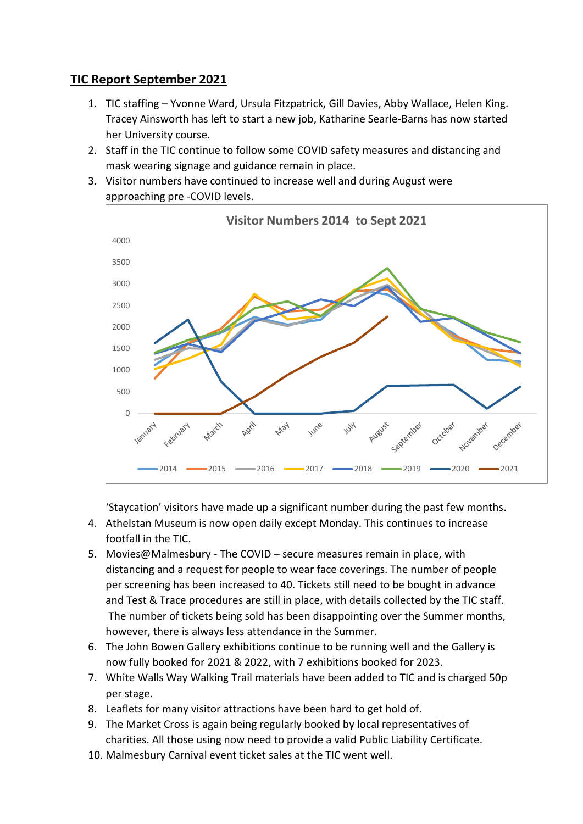## **TIC Report September 2021**

- 1. TIC staffing Yvonne Ward, Ursula Fitzpatrick, Gill Davies, Abby Wallace, Helen King. Tracey Ainsworth has left to start a new job, Katharine Searle-Barns has now started her University course.
- 2. Staff in the TIC continue to follow some COVID safety measures and distancing and mask wearing signage and guidance remain in place.
- 3. Visitor numbers have continued to increase well and during August were approaching pre -COVID levels.



'Staycation' visitors have made up a significant number during the past few months.

- 4. Athelstan Museum is now open daily except Monday. This continues to increase footfall in the TIC.
- 5. Movies@Malmesbury The COVID secure measures remain in place, with distancing and a request for people to wear face coverings. The number of people per screening has been increased to 40. Tickets still need to be bought in advance and Test & Trace procedures are still in place, with details collected by the TIC staff. The number of tickets being sold has been disappointing over the Summer months, however, there is always less attendance in the Summer.
- 6. The John Bowen Gallery exhibitions continue to be running well and the Gallery is now fully booked for 2021 & 2022, with 7 exhibitions booked for 2023.
- 7. White Walls Way Walking Trail materials have been added to TIC and is charged 50p per stage.
- 8. Leaflets for many visitor attractions have been hard to get hold of.
- 9. The Market Cross is again being regularly booked by local representatives of charities. All those using now need to provide a valid Public Liability Certificate.
- 10. Malmesbury Carnival event ticket sales at the TIC went well.